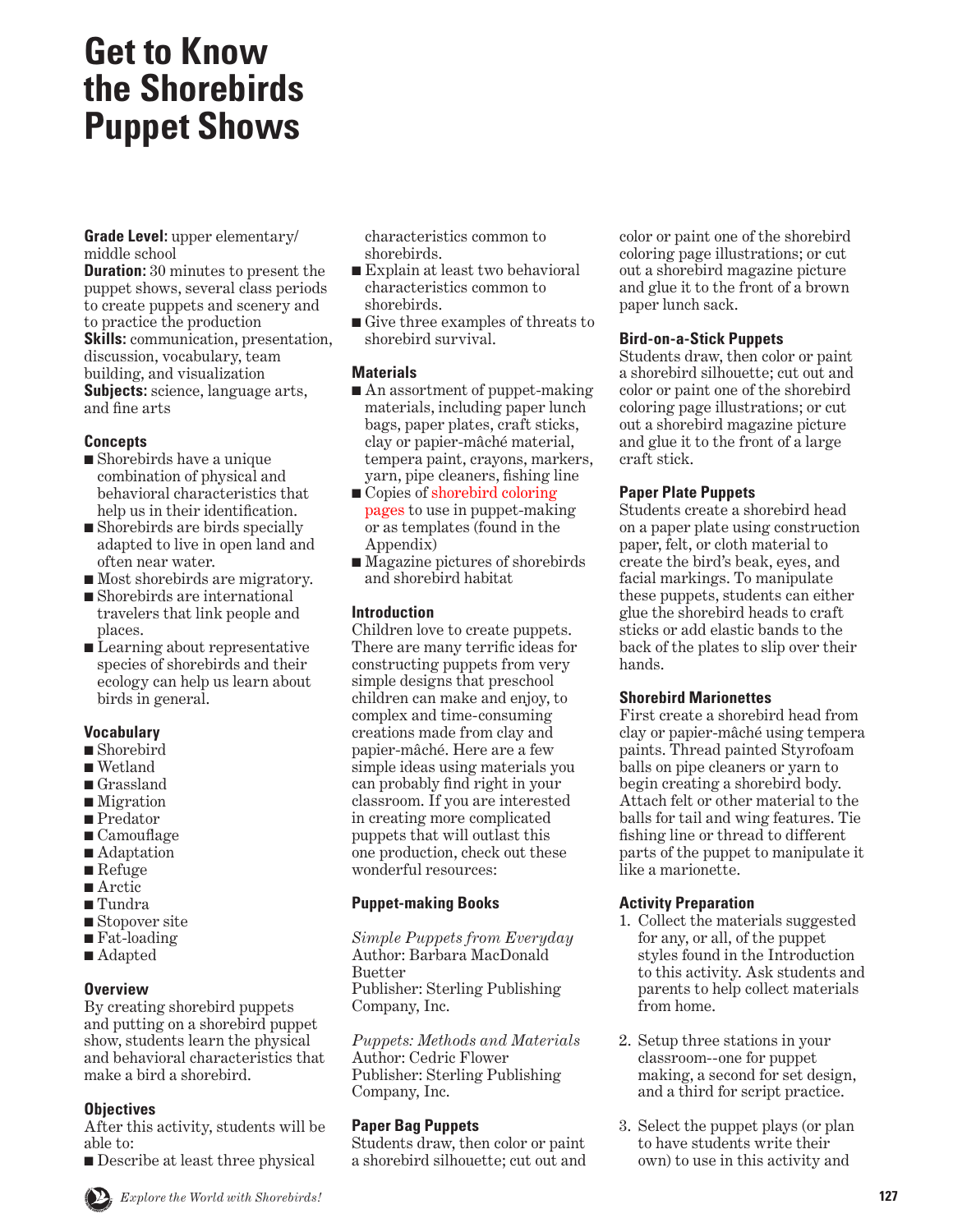# **Get to Know the Shorebirds Puppet Shows**

**Grade Level:** upper elementary/ middle school

**Duration:** 30 minutes to present the puppet shows, several class periods to create puppets and scenery and to practice the production **Skills:** communication, presentation, discussion, vocabulary, team building, and visualization **Subjects:** science, language arts, and fine arts

#### **Concepts**

- Shorebirds have a unique combination of physical and behavioral characteristics that help us in their identification.
- Shorebirds are birds specially adapted to live in open land and often near water.
- Most shore birds are migratory.
- Shorebirds are international travelers that link people and places.
- Learning about representative species of shorebirds and their ecology can help us learn about birds in general.

# **Vocabulary**

- Shorebird
- Wetland
- Grassland
- Migration
- Predator
- Camouflage
- Adaptation
- Refuge
- Arctic
- Tundra
- Stopover site
- Fat-loading
- Adapted

# **Overview**

By creating shorebird puppets and putting on a shorebird puppet show, students learn the physical and behavioral characteristics that make a bird a shorebird.

# **Objectives**

After this activity, students will be able to:

■ Describe at least three physical

characteristics common to shorebirds.

- Explain at least two behavioral characteristics common to shorebirds.
- Give three examples of threats to shorebird survival.

# **Materials**

- An assortment of puppet-making materials, including paper lunch bags, paper plates, craft sticks, clay or papier-mâché material, tempera paint, crayons, markers, yarn, pipe cleaners, fishing line
- Copies of shorebird coloring pages to use in puppet-making or as templates (found in the Appendix)
- Magazine pictures of shorebirds and shorebird habitat

# **Introduction**

Children love to create puppets. There are many terrific ideas for constructing puppets from very simple designs that preschool children can make and enjoy, to complex and time-consuming creations made from clay and papier-mâché. Here are a few simple ideas using materials you can probably find right in your classroom. If you are interested in creating more complicated puppets that will outlast this one production, check out these wonderful resources:

## **Puppet-making Books**

*Simple Puppets from Everyday*  Author: Barbara MacDonald Buetter Publisher: Sterling Publishing Company, Inc.

*Puppets: Methods and Materials*  Author: Cedric Flower Publisher: Sterling Publishing Company, Inc.

## **Paper Bag Puppets**

Students draw, then color or paint a shorebird silhouette; cut out and color or paint one of the shorebird coloring page illustrations; or cut out a shorebird magazine picture and glue it to the front of a brown paper lunch sack.

# **Bird-on-a-Stick Puppets**

Students draw, then color or paint a shorebird silhouette; cut out and color or paint one of the shorebird coloring page illustrations; or cut out a shorebird magazine picture and glue it to the front of a large craft stick.

# **Paper Plate Puppets**

Students create a shorebird head on a paper plate using construction paper, felt, or cloth material to create the bird's beak, eyes, and facial markings. To manipulate these puppets, students can either glue the shorebird heads to craft sticks or add elastic bands to the back of the plates to slip over their hands.

## **Shorebird Marionettes**

First create a shorebird head from clay or papier-mâché using tempera paints. Thread painted Styrofoam balls on pipe cleaners or yarn to begin creating a shorebird body. Attach felt or other material to the balls for tail and wing features. Tie fishing line or thread to different parts of the puppet to manipulate it like a marionette.

# **Activity Preparation**

- 1. Collect the materials suggested for any, or all, of the puppet styles found in the Introduction to this activity. Ask students and parents to help collect materials from home.
- 2. Setup three stations in your classroom--one for puppet making, a second for set design, and a third for script practice.
- 3. Select the puppet plays (or plan to have students write their own) to use in this activity and

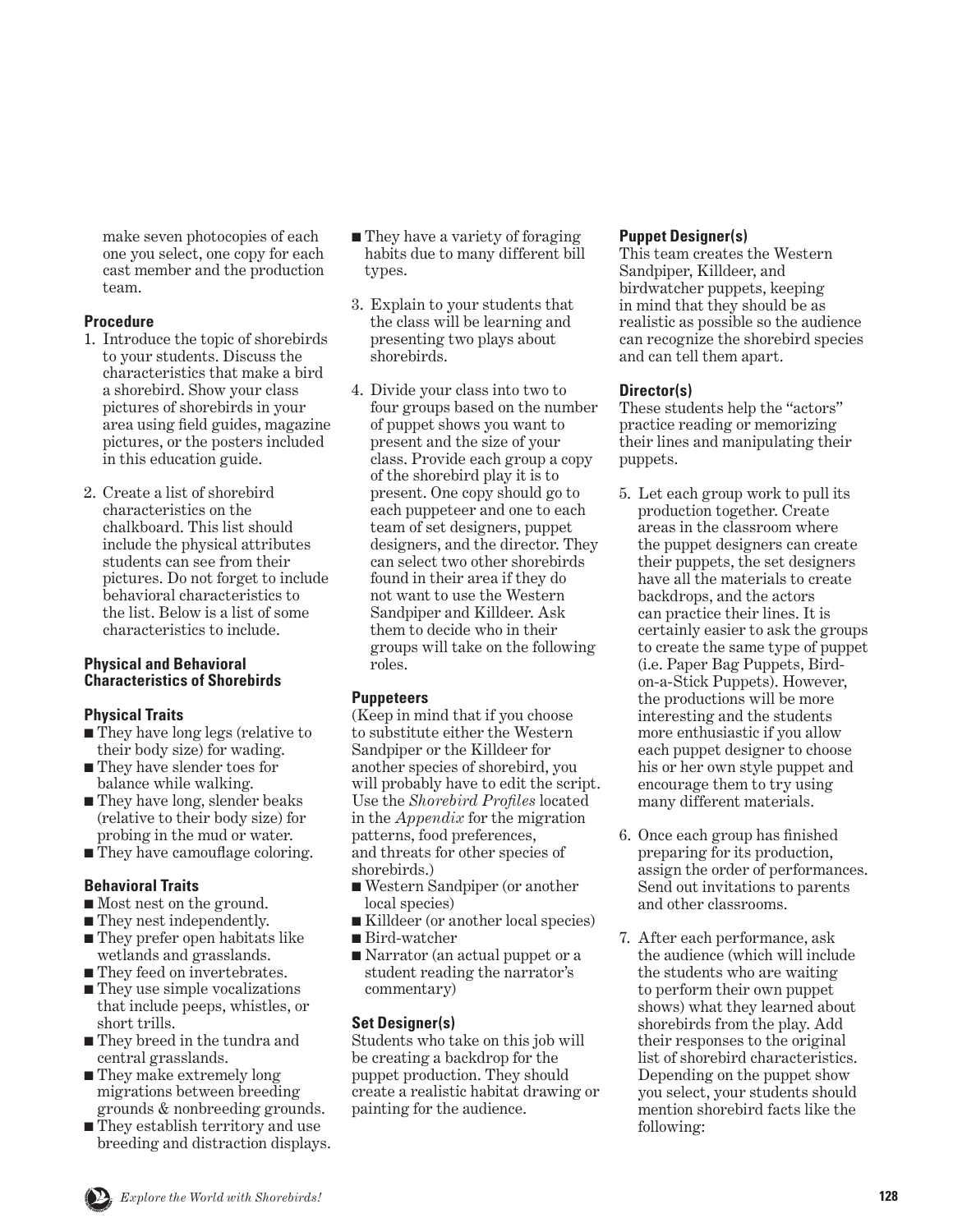make seven photocopies of each one you select, one copy for each cast member and the production team.

#### **Procedure**

- 1. Introduce the topic of shorebirds to your students. Discuss the characteristics that make a bird a shorebird. Show your class pictures of shorebirds in your area using field guides, magazine pictures, or the posters included in this education guide.
- 2. Create a list of shorebird characteristics on the chalkboard. This list should include the physical attributes students can see from their pictures. Do not forget to include behavioral characteristics to the list. Below is a list of some characteristics to include.

#### **Physical and Behavioral Characteristics of Shorebirds**

#### **Physical Traits**

- They have long legs (relative to their body size) for wading.
- They have slender toes for balance while walking.
- They have long, slender beaks (relative to their body size) for probing in the mud or water.
- They have camouflage coloring.

## **Behavioral Traits**

- Most nest on the ground.
- They nest independently.
- They prefer open habitats like wetlands and grasslands.
- They feed on invertebrates.
- They use simple vocalizations that include peeps, whistles, or short trills.
- They breed in the tundra and central grasslands.
- They make extremely long migrations between breeding grounds & nonbreeding grounds.
- They establish territory and use breeding and distraction displays.
- They have a variety of foraging habits due to many different bill types.
- 3. Explain to your students that the class will be learning and presenting two plays about shorebirds.
- 4. Divide your class into two to four groups based on the number of puppet shows you want to present and the size of your class. Provide each group a copy of the shorebird play it is to present. One copy should go to each puppeteer and one to each team of set designers, puppet designers, and the director. They can select two other shorebirds found in their area if they do not want to use the Western Sandpiper and Killdeer. Ask them to decide who in their groups will take on the following roles.

## **Puppeteers**

(Keep in mind that if you choose to substitute either the Western Sandpiper or the Killdeer for another species of shorebird, you will probably have to edit the script. Use the *Shorebird Profiles* located in the *Appendix* for the migration patterns, food preferences, and threats for other species of shorebirds.)

- Western Sandpiper (or another local species)
- Killdeer (or another local species)
- Bird-watcher
- Narrator (an actual puppet or a student reading the narrator's commentary)

## **Set Designer(s)**

Students who take on this job will be creating a backdrop for the puppet production. They should create a realistic habitat drawing or painting for the audience.

#### **Puppet Designer(s)**

This team creates the Western Sandpiper, Killdeer, and birdwatcher puppets, keeping in mind that they should be as realistic as possible so the audience can recognize the shorebird species and can tell them apart.

#### **Director(s)**

These students help the "actors" practice reading or memorizing their lines and manipulating their puppets.

- 5. Let each group work to pull its production together. Create areas in the classroom where the puppet designers can create their puppets, the set designers have all the materials to create backdrops, and the actors can practice their lines. It is certainly easier to ask the groups to create the same type of puppet (i.e. Paper Bag Puppets, Birdon-a-Stick Puppets). However, the productions will be more interesting and the students more enthusiastic if you allow each puppet designer to choose his or her own style puppet and encourage them to try using many different materials.
- 6. Once each group has finished preparing for its production, assign the order of performances. Send out invitations to parents and other classrooms.
- 7. After each performance, ask the audience (which will include the students who are waiting to perform their own puppet shows) what they learned about shorebirds from the play. Add their responses to the original list of shorebird characteristics. Depending on the puppet show you select, your students should mention shorebird facts like the following: